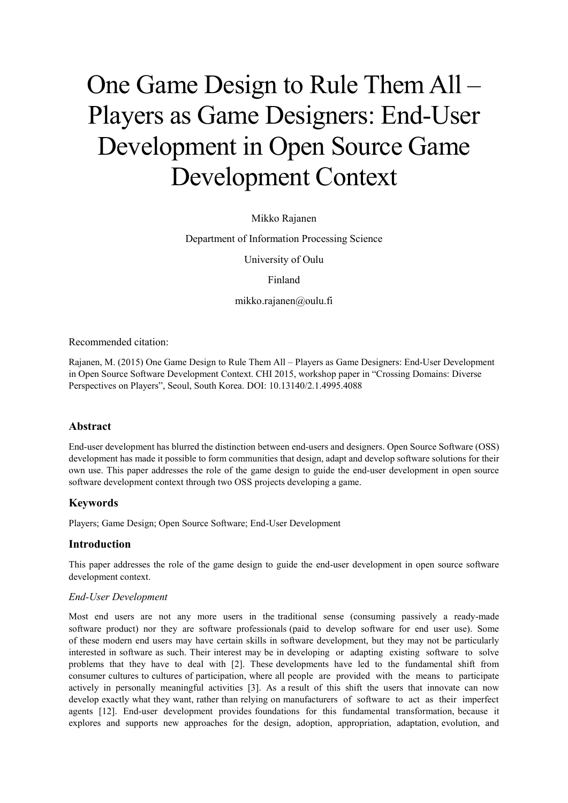# One Game Design to Rule Them All – Players as Game Designers: End-User Development in Open Source Game Development Context

## Mikko Rajanen

Department of Information Processing Science

University of Oulu

Finland

mikko.rajanen@oulu.fi

Recommended citation:

Rajanen, M. (2015) One Game Design to Rule Them All – Players as Game Designers: End-User Development in Open Source Software Development Context. CHI 2015, workshop paper in "Crossing Domains: Diverse Perspectives on Players", Seoul, South Korea. DOI: 10.13140/2.1.4995.4088

## **Abstract**

End-user development has blurred the distinction between end-users and designers. Open Source Software (OSS) development has made it possible to form communities that design, adapt and develop software solutions for their own use. This paper addresses the role of the game design to guide the end-user development in open source software development context through two OSS projects developing a game.

#### **Keywords**

Players; Game Design; Open Source Software; End-User Development

## **Introduction**

This paper addresses the role of the game design to guide the end-user development in open source software development context.

#### *End-User Development*

Most end users are not any more users in the traditional sense (consuming passively a ready-made software product) nor they are software professionals (paid to develop software for end user use). Some of these modern end users may have certain skills in software development, but they may not be particularly interested in software as such. Their interest may be in developing or adapting existing software to solve problems that they have to deal with [2]. These developments have led to the fundamental shift from consumer cultures to cultures of participation, where all people are provided with the means to participate actively in personally meaningful activities [3]. As a result of this shift the users that innovate can now develop exactly what they want, rather than relying on manufacturers of software to act as their imperfect agents [12]. End-user development provides foundations for this fundamental transformation, because it explores and supports new approaches for the design, adoption, appropriation, adaptation, evolution, and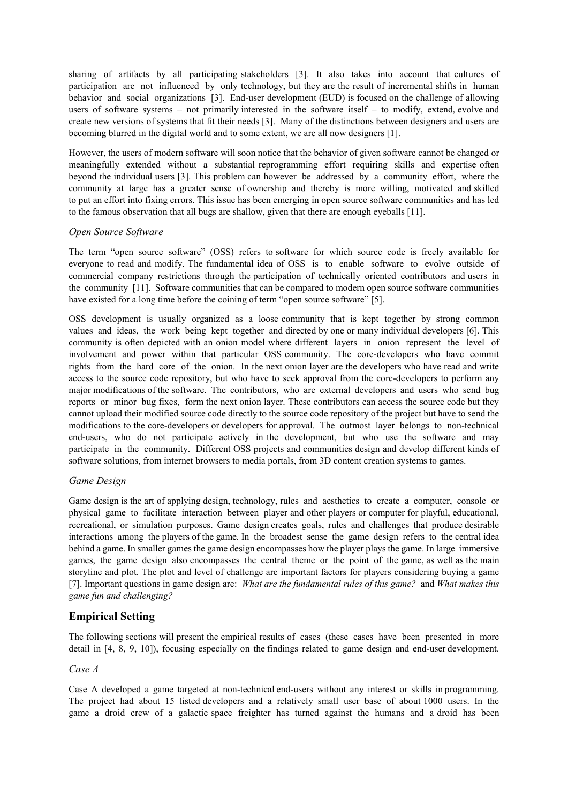sharing of artifacts by all participating stakeholders [3]. It also takes into account that cultures of participation are not influenced by only technology, but they are the result of incremental shifts in human behavior and social organizations [3]. End-user development (EUD) is focused on the challenge of allowing users of software systems – not primarily interested in the software itself – to modify, extend, evolve and create new versions of systems that fit their needs [3]. Many of the distinctions between designers and users are becoming blurred in the digital world and to some extent, we are all now designers [1].

However, the users of modern software will soon notice that the behavior of given software cannot be changed or meaningfully extended without a substantial reprogramming effort requiring skills and expertise often beyond the individual users [3]. This problem can however be addressed by a community effort, where the community at large has a greater sense of ownership and thereby is more willing, motivated and skilled to put an effort into fixing errors. This issue has been emerging in open source software communities and has led to the famous observation that all bugs are shallow, given that there are enough eyeballs [11].

## *Open Source Software*

The term "open source software" (OSS) refers to software for which source code is freely available for everyone to read and modify. The fundamental idea of OSS is to enable software to evolve outside of commercial company restrictions through the participation of technically oriented contributors and users in the community [11]. Software communities that can be compared to modern open source software communities have existed for a long time before the coining of term "open source software" [5].

OSS development is usually organized as a loose community that is kept together by strong common values and ideas, the work being kept together and directed by one or many individual developers [6]. This community is often depicted with an onion model where different layers in onion represent the level of involvement and power within that particular OSS community. The core-developers who have commit rights from the hard core of the onion. In the next onion layer are the developers who have read and write access to the source code repository, but who have to seek approval from the core-developers to perform any major modifications of the software. The contributors, who are external developers and users who send bug reports or minor bug fixes, form the next onion layer. These contributors can access the source code but they cannot upload their modified source code directly to the source code repository of the project but have to send the modifications to the core-developers or developers for approval. The outmost layer belongs to non-technical end-users, who do not participate actively in the development, but who use the software and may participate in the community. Different OSS projects and communities design and develop different kinds of software solutions, from internet browsers to media portals, from 3D content creation systems to games.

#### *Game Design*

Game design is the art of applying design, technology, rules and aesthetics to create a computer, console or physical game to facilitate interaction between player and other players or computer for playful, educational, recreational, or simulation purposes. Game design creates goals, rules and challenges that produce desirable interactions among the players of the game. In the broadest sense the game design refers to the central idea behind a game. In smaller games the game design encompasses how the player plays the game. In large immersive games, the game design also encompasses the central theme or the point of the game, as well as the main storyline and plot. The plot and level of challenge are important factors for players considering buying a game [7]. Important questions in game design are: *What are the fundamental rules of this game?* and *What makes this game fun and challenging?*

## **Empirical Setting**

The following sections will present the empirical results of cases (these cases have been presented in more detail in [4, 8, 9, 10]), focusing especially on the findings related to game design and end-user development.

#### *Case A*

Case A developed a game targeted at non-technical end-users without any interest or skills in programming. The project had about 15 listed developers and a relatively small user base of about 1000 users. In the game a droid crew of a galactic space freighter has turned against the humans and a droid has been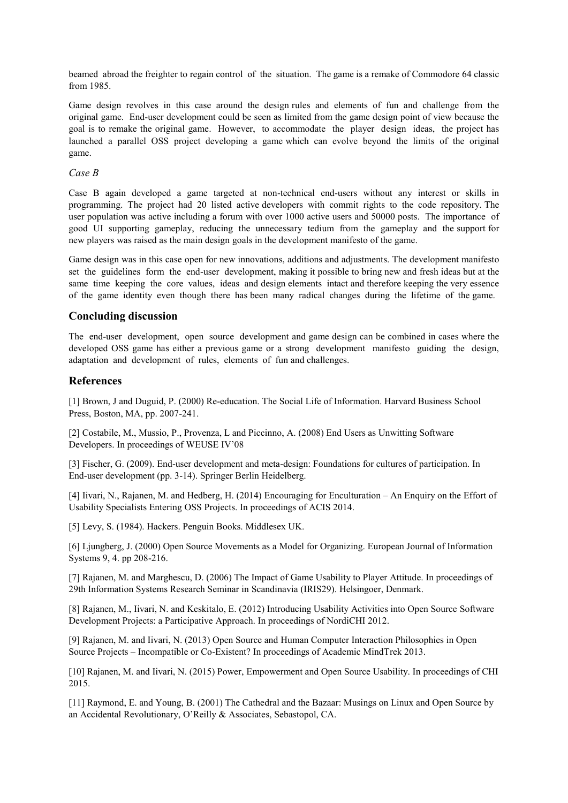beamed abroad the freighter to regain control of the situation. The game is a remake of Commodore 64 classic from 1985.

Game design revolves in this case around the design rules and elements of fun and challenge from the original game. End-user development could be seen as limited from the game design point of view because the goal is to remake the original game. However, to accommodate the player design ideas, the project has launched a parallel OSS project developing a game which can evolve beyond the limits of the original game.

## *Case B*

Case B again developed a game targeted at non-technical end-users without any interest or skills in programming. The project had 20 listed active developers with commit rights to the code repository. The user population was active including a forum with over 1000 active users and 50000 posts. The importance of good UI supporting gameplay, reducing the unnecessary tedium from the gameplay and the support for new players was raised as the main design goals in the development manifesto of the game.

Game design was in this case open for new innovations, additions and adjustments. The development manifesto set the guidelines form the end-user development, making it possible to bring new and fresh ideas but at the same time keeping the core values, ideas and design elements intact and therefore keeping the very essence of the game identity even though there has been many radical changes during the lifetime of the game.

## **Concluding discussion**

The end-user development, open source development and game design can be combined in cases where the developed OSS game has either a previous game or a strong development manifesto guiding the design, adaptation and development of rules, elements of fun and challenges.

# **References**

[1] Brown, J and Duguid, P. (2000) Re-education. The Social Life of Information. Harvard Business School Press, Boston, MA, pp. 2007-241.

[2] Costabile, M., Mussio, P., Provenza, L and Piccinno, A. (2008) End Users as Unwitting Software Developers. In proceedings of WEUSE IV'08

[3] Fischer, G. (2009). End-user development and meta-design: Foundations for cultures of participation. In End-user development (pp. 3-14). Springer Berlin Heidelberg.

[4] Iivari, N., Rajanen, M. and Hedberg, H. (2014) Encouraging for Enculturation – An Enquiry on the Effort of Usability Specialists Entering OSS Projects. In proceedings of ACIS 2014.

[5] Levy, S. (1984). Hackers. Penguin Books. Middlesex UK.

[6] Ljungberg, J. (2000) Open Source Movements as a Model for Organizing. European Journal of Information Systems 9, 4. pp 208-216.

[7] Rajanen, M. and Marghescu, D. (2006) The Impact of Game Usability to Player Attitude. In proceedings of 29th Information Systems Research Seminar in Scandinavia (IRIS29). Helsingoer, Denmark.

[8] Rajanen, M., Iivari, N. and Keskitalo, E. (2012) Introducing Usability Activities into Open Source Software Development Projects: a Participative Approach. In proceedings of NordiCHI 2012.

[9] Rajanen, M. and Iivari, N. (2013) Open Source and Human Computer Interaction Philosophies in Open Source Projects – Incompatible or Co-Existent? In proceedings of Academic MindTrek 2013.

[10] Rajanen, M. and Iivari, N. (2015) Power, Empowerment and Open Source Usability. In proceedings of CHI 2015.

[11] Raymond, E. and Young, B. (2001) The Cathedral and the Bazaar: Musings on Linux and Open Source by an Accidental Revolutionary, O'Reilly & Associates, Sebastopol, CA.